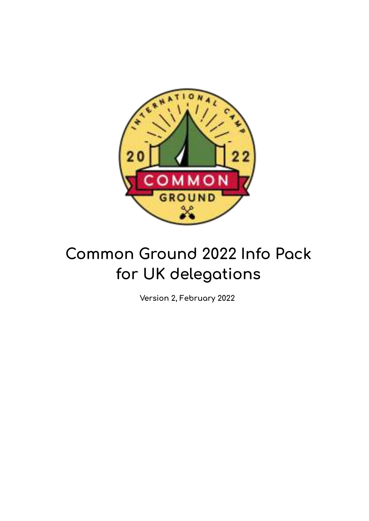

# **Common Ground 2022 Info Pack for UK delegations**

**Version 2, February 2022**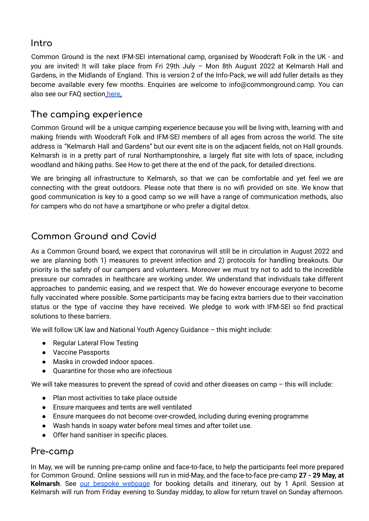### **Intro**

Common Ground is the next IFM-SEI international camp, organised by Woodcraft Folk in the UK - and you are invited! It will take place from Fri 29th July – Mon 8th August 2022 at Kelmarsh Hall and Gardens, in the Midlands of England. This is version 2 of the Info-Pack, we will add fuller details as they become available every few months. Enquiries are welcome to info@commonground.camp. You can also see our FAQ section here.

# **The camping experience**

Common Ground will be a unique camping experience because you will be living with, learning with and making friends with Woodcraft Folk and IFM-SEI members of all ages from across the world. The site address is "Kelmarsh Hall and Gardens" but our event site is on the adjacent fields, not on Hall grounds. Kelmarsh is in a pretty part of rural Northamptonshire, a largely flat site with lots of space, including woodland and hiking paths. See How to get there at the end of the pack, for detailed directions.

We are bringing all infrastructure to Kelmarsh, so that we can be comfortable and yet feel we are connecting with the great outdoors. Please note that there is no wifi provided on site. We know that good communication is key to a good camp so we will have a range of communication methods, also for campers who do not have a smartphone or who prefer a digital detox.

# **Common Ground and Covid**

As a Common Ground board, we expect that coronavirus will still be in circulation in August 2022 and we are planning both 1) measures to prevent infection and 2) protocols for handling breakouts. Our priority is the safety of our campers and volunteers. Moreover we must try not to add to the incredible pressure our comrades in healthcare are working under. We understand that individuals take different approaches to pandemic easing, and we respect that. We do however encourage everyone to become fully vaccinated where possible. Some participants may be facing extra barriers due to their vaccination status or the type of vaccine they have received. We pledge to work with IFM-SEI so find practical solutions to these barriers.

We will follow UK law and National Youth Agency Guidance – this might include:

- Regular Lateral Flow Testing
- Vaccine Passports
- Masks in crowded indoor spaces.
- Quarantine for those who are infectious

We will take measures to prevent the spread of covid and other diseases on camp – this will include:

- Plan most activities to take place outside
- Ensure marquees and tents are well ventilated
- Ensure marquees do not become over-crowded, including during evening programme
- Wash hands in soapy water before meal times and after toilet use.
- Offer hand sanitiser in specific places.

#### **Pre-camp**

In May, we will be running pre-camp online and face-to-face, to help the participants feel more prepared for Common Ground. Online sessions will run in mid-May, and the face-to-face pre-camp **27 - 29 May, at** Kelmarsh. See our bespoke [webpage](https://www.commonground.camp/about/pre-camp/) for booking details and itinerary, out by 1 April. Session at Kelmarsh will run from Friday evening to Sunday midday, to allow for return travel on Sunday afternoon.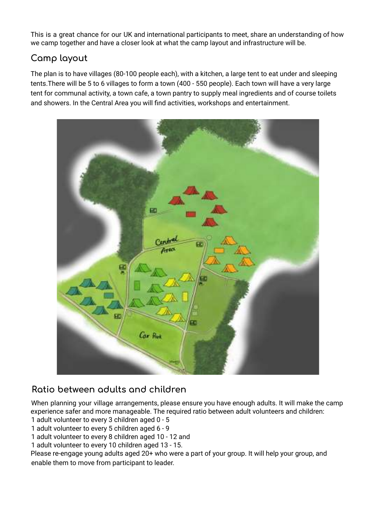This is a great chance for our UK and international participants to meet, share an understanding of how we camp together and have a closer look at what the camp layout and infrastructure will be.

# **Camp layout**

The plan is to have villages (80-100 people each), with a kitchen, a large tent to eat under and sleeping tents.There will be 5 to 6 villages to form a town (400 - 550 people). Each town will have a very large tent for communal activity, a town cafe, a town pantry to supply meal ingredients and of course toilets and showers. In the Central Area you will find activities, workshops and entertainment.



# **Ratio between adults and children**

When planning your village arrangements, please ensure you have enough adults. It will make the camp experience safer and more manageable. The required ratio between adult volunteers and children: 1 adult volunteer to every 3 children aged 0 - 5

1 adult volunteer to every 5 children aged 6 - 9

1 adult volunteer to every 8 children aged 10 - 12 and

1 adult volunteer to every 10 children aged 13 - 15.

Please re-engage young adults aged 20+ who were a part of your group. It will help your group, and enable them to move from participant to leader.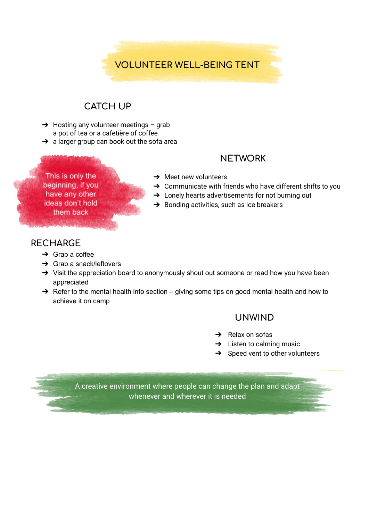

# **CATCH UP**

- $\rightarrow$  Hosting any volunteer meetings grab a pot of tea or a cafetière of coffee
- → a larger group can book out the sofa area

#### **NETWORK**

This is only the beginning, if you have any other ideas don't hold them back

- $\rightarrow$  Meet new volunteers
- $\rightarrow$  Communicate with friends who have different shifts to you
- → Lonely hearts advertisements for not burning out
- $\rightarrow$  Bonding activities, such as ice breakers

#### **RECHARGE**

- $\rightarrow$  Grab a coffee
- $\rightarrow$  Grab a snack/leftovers
- → Visit the appreciation board to anonymously shout out someone or read how you have been appreciated
- $\rightarrow$  Refer to the mental health info section giving some tips on good mental health and how to achieve it on camp

#### **UNWIND**

- $\rightarrow$  Relax on sofas
- $\rightarrow$  Listen to calming music
- $\rightarrow$  Speed vent to other volunteers

A creative environment where people can change the plan and adapt whenever and wherever it is needed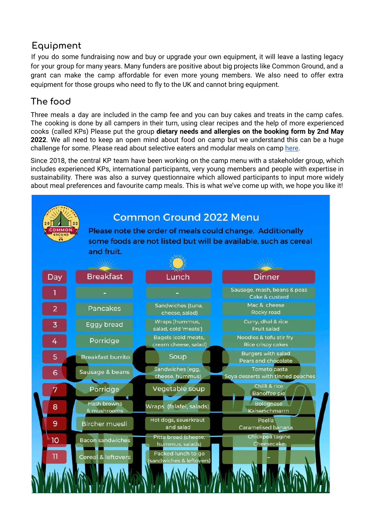# **Equipment**

If you do some fundraising now and buy or upgrade your own equipment, it will leave a lasting legacy for your group for many years. Many funders are positive about big projects like Common Ground, and a grant can make the camp affordable for even more young members. We also need to offer extra equipment for those groups who need to fly to the UK and cannot bring equipment.

# **The food**

Three meals a day are included in the camp fee and you can buy cakes and treats in the camp cafes. The cooking is done by all campers in their turn, using clear recipes and the help of more experienced cooks (called KPs) Please put the group **dietary needs and allergies on the booking form by 2nd May 2022**. We all need to keep an open mind about food on camp but we understand this can be a huge challenge for some. Please read about selective eaters and modular meals on camp [here](https://www.commonground.camp/food/).

Since 2018, the central KP team have been working on the camp menu with a stakeholder group, which includes experienced KPs, international participants, very young members and people with expertise in sustainability. There was also a survey questionnaire which allowed participants to input more widely about meal preferences and favourite camp meals. This is what we've come up with, we hope you like it!

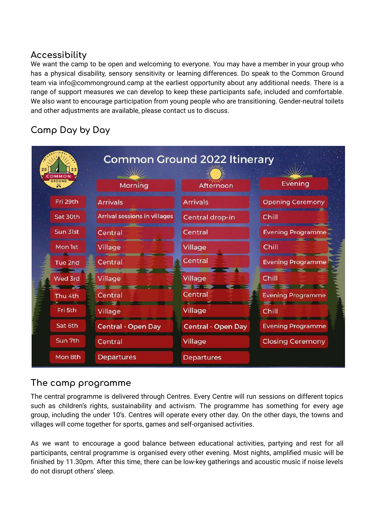#### **Accessibility**

We want the camp to be open and welcoming to everyone. You may have a member in your group who has a physical disability, sensory sensitivity or learning differences. Do speak to the Common Ground team via info@commonground.camp at the earliest opportunity about any additional needs. There is a range of support measures we can develop to keep these participants safe, included and comfortable. We also want to encourage participation from young people who are transitioning. Gender-neutral toilets and other adjustments are available, please contact us to discuss.

# **Camp Day by Day**



# **The camp programme**

The central programme is delivered through Centres. Every Centre will run sessions on different topics such as children's rights, sustainability and activism. The programme has something for every age group, including the under 10's. Centres will operate every other day. On the other days, the towns and villages will come together for sports, games and self-organised activities.

As we want to encourage a good balance between educational activities, partying and rest for all participants, central programme is organised every other evening. Most nights, amplified music will be finished by 11.30pm. After this time, there can be low-key gatherings and acoustic music if noise levels do not disrupt others' sleep.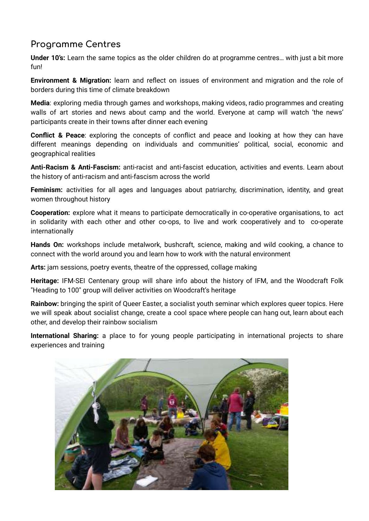# **Programme Centres**

**Under 10's:** Learn the same topics as the older children do at programme centres… with just a bit more fun!

**Environment & Migration:** learn and reflect on issues of environment and migration and the role of borders during this time of climate breakdown

**Media**: exploring media through games and workshops, making videos, radio programmes and creating walls of art stories and news about camp and the world. Everyone at camp will watch 'the news' participants create in their towns after dinner each evening

**Conflict & Peace**: exploring the concepts of conflict and peace and looking at how they can have different meanings depending on individuals and communities' political, social, economic and geographical realities

**Anti-Racism & Anti-Fascism:** anti-racist and anti-fascist education, activities and events. Learn about the history of anti-racism and anti-fascism across the world

**Feminism:** activities for all ages and languages about patriarchy, discrimination, identity, and great women throughout history

**Cooperation:** explore what it means to participate democratically in co-operative organisations, to act in solidarity with each other and other co-ops, to live and work cooperatively and to co-operate internationally

**Hands On:** workshops include metalwork, bushcraft, science, making and wild cooking, a chance to connect with the world around you and learn how to work with the natural environment

**Arts:** jam sessions, poetry events, theatre of the oppressed, collage making

**Heritage:** IFM-SEI Centenary group will share info about the history of IFM, and the Woodcraft Folk "Heading to 100" group will deliver activities on Woodcraft's heritage

**Rainbow:** bringing the spirit of Queer Easter, a socialist youth seminar which explores queer topics. Here we will speak about socialist change, create a cool space where people can hang out, learn about each other, and develop their rainbow socialism

**International Sharing:** a place to for young people participating in international projects to share experiences and training

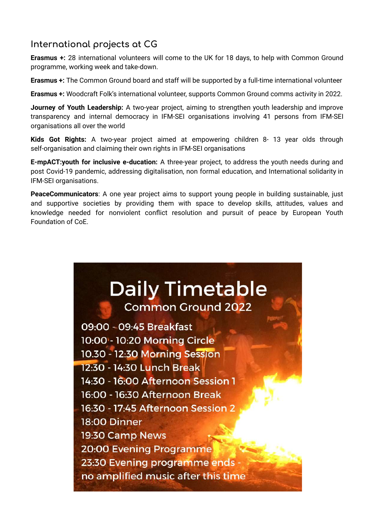# **International projects at CG**

**Erasmus +:** 28 international volunteers will come to the UK for 18 days, to help with Common Ground programme, working week and take-down.

**Erasmus +:** The Common Ground board and staff will be supported by a full-time international volunteer

**Erasmus +:** Woodcraft Folk's international volunteer, supports Common Ground comms activity in 2022.

**Journey of Youth Leadership:** A two-year project, aiming to strengthen youth leadership and improve transparency and internal democracy in IFM-SEI organisations involving 41 persons from IFM-SEI organisations all over the world

**Kids Got Rights:** A two-year project aimed at empowering children 8- 13 year olds through self-organisation and claiming their own rights in IFM-SEI organisations

**E-mpACT:youth for inclusive e-ducation:** A three-year project, to address the youth needs during and post Covid-19 pandemic, addressing digitalisation, non formal education, and International solidarity in IFM-SEI organisations.

**PeaceCommunicators**: A one year project aims to support young people in building sustainable, just and supportive societies by providing them with space to develop skills, attitudes, values and knowledge needed for nonviolent conflict resolution and pursuit of peace by European Youth Foundation of CoE.

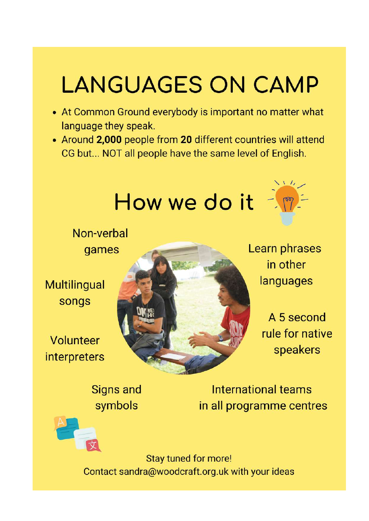# **LANGUAGES ON CAMP**

- At Common Ground everybody is important no matter what language they speak.
- Around 2,000 people from 20 different countries will attend CG but... NOT all people have the same level of English.



**Signs and** symbols

International teams in all programme centres

**Stay tuned for more!** Contact sandra@woodcraft.org.uk with your ideas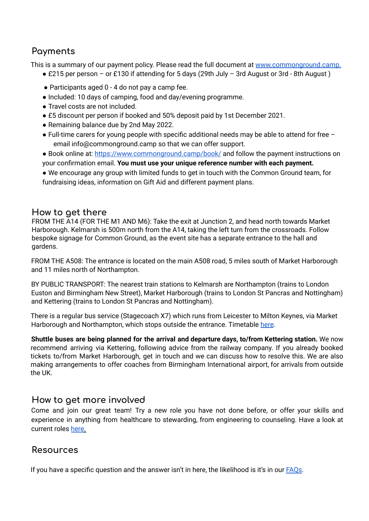# **Payments**

This is a summary of our payment policy. Please read the full document at www.commonground.camp.

- £215 per person or £130 if attending for 5 days (29th July 3rd August or 3rd 8th August)
- Participants aged 0 4 do not pay a camp fee.
- Included: 10 days of camping, food and day/evening programme.
- Travel costs are not included.
- £5 discount per person if booked and 50% deposit paid by 1st December 2021.
- Remaining balance due by 2nd May 2022.
- $\bullet$  Full-time carers for young people with specific additional needs may be able to attend for free  $$ email info@commonground.camp so that we can offer support.
- Book online at: https://www.commonground.camp/book/ and follow the payment instructions on your confirmation email. **You must use your unique reference number with each payment.**

● We encourage any group with limited funds to get in touch with the Common Ground team, for fundraising ideas, information on Gift Aid and different payment plans.

#### **How to get there**

FROM THE A14 (FOR THE M1 AND M6): Take the exit at Junction 2, and head north towards Market Harborough. Kelmarsh is 500m north from the A14, taking the left turn from the crossroads. Follow bespoke signage for Common Ground, as the event site has a separate entrance to the hall and gardens.

FROM THE A508: The entrance is located on the main A508 road, 5 miles south of Market Harborough and 11 miles north of Northampton.

BY PUBLIC TRANSPORT: The nearest train stations to Kelmarsh are Northampton (trains to London Euston and Birmingham New Street), Market Harborough (trains to London St Pancras and Nottingham) and Kettering (trains to London St Pancras and Nottingham).

There is a regular bus service (Stagecoach X7) which runs from Leicester to Milton Keynes, via Market Harborough and Northampton, which stops outside the entrance. Timetable here.

**Shuttle buses are being planned for the arrival and departure days, to/from Kettering station.** We now recommend arriving via Kettering, following advice from the railway company. If you already booked tickets to/from Market Harborough, get in touch and we can discuss how to resolve this. We are also making arrangements to offer coaches from Birmingham International airport, for arrivals from outside the UK.

#### **How to get more involved**

Come and join our great team! Try a new role you have not done before, or offer your skills and experience in anything from healthcare to stewarding, from engineering to counseling. Have a look at current roles here.

#### **Resources**

If you have a specific question and the answer isn't in here, the likelihood is it's in our **FAQs**.